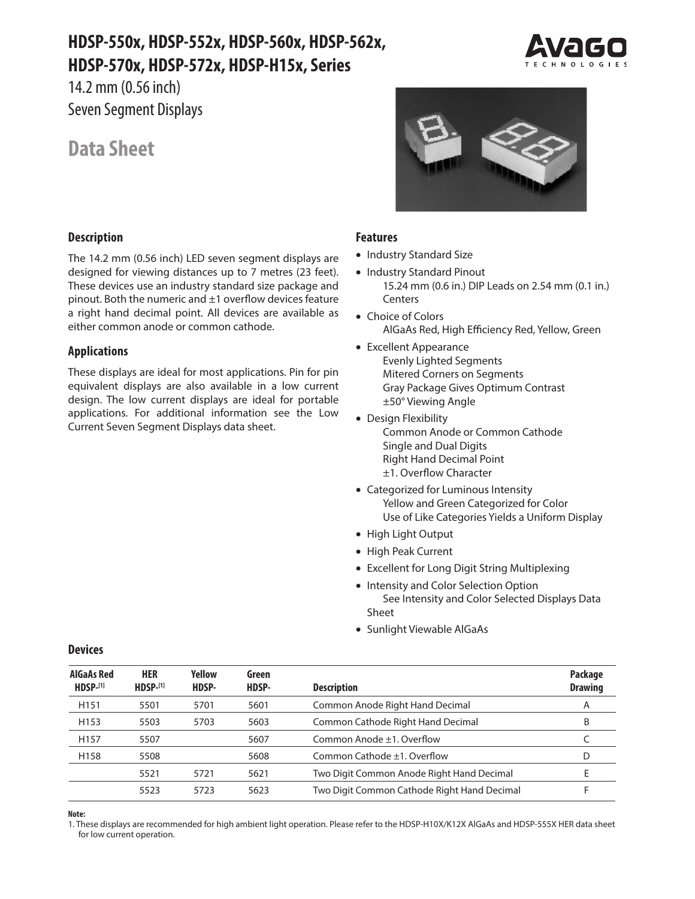# **HDSP-550x, HDSP-552x, HDSP-560x, HDSP-562x, HDSP-570x, HDSP-572x, HDSP-H15x, Series**

14.2 mm (0.56 inch) Seven Segment Displays

# **Data Sheet**

### **Description**

The 14.2 mm (0.56 inch) LED seven segment displays are designed for viewing distances up to 7 metres (23 feet). These devices use an industry standard size package and pinout. Both the numeric and ±1 overflow devices feature a right hand decimal point. All devices are available as either common anode or common cathode.

### **Applications**

These displays are ideal for most applications. Pin for pin equivalent displays are also available in a low current design. The low current displays are ideal for portable applications. For additional information see the Low Current Seven Segment Displays data sheet.





#### **Features**

- Industry Standard Size
- Industry Standard Pinout 15.24 mm (0.6 in.) DIP Leads on 2.54 mm (0.1 in.) Centers
- Choice of Colors AlGaAs Red, High Efficiency Red, Yellow, Green
- Excellent Appearance Evenly Lighted Segments Mitered Corners on Segments Gray Package Gives Optimum Contrast ±50° Viewing Angle
- Design Flexibility Common Anode or Common Cathode Single and Dual Digits Right Hand Decimal Point ±1. Overflow Character
- Categorized for Luminous Intensity Yellow and Green Categorized for Color Use of Like Categories Yields a Uniform Display
- High Light Output
- High Peak Current
- Excellent for Long Digit String Multiplexing
- Intensity and Color Selection Option See Intensity and Color Selected Displays Data Sheet
- Sunlight Viewable AlGaAs

| <b>AlGaAs Red</b><br>$HDSP-[1]$ | <b>HER</b><br>$H$ DSP <sub>-[1]</sub> | Yellow<br>HDSP- | Green<br>HDSP- | <b>Description</b>                          | Package<br><b>Drawing</b> |
|---------------------------------|---------------------------------------|-----------------|----------------|---------------------------------------------|---------------------------|
| H <sub>151</sub>                | 5501                                  | 5701            | 5601           | Common Anode Right Hand Decimal             | A                         |
| H <sub>153</sub>                | 5503                                  | 5703            | 5603           | Common Cathode Right Hand Decimal           | B                         |
| H <sub>157</sub>                | 5507                                  |                 | 5607           | Common Anode ±1. Overflow                   |                           |
| H158                            | 5508                                  |                 | 5608           | Common Cathode ±1. Overflow                 | D                         |
|                                 | 5521                                  | 5721            | 5621           | Two Digit Common Anode Right Hand Decimal   |                           |
|                                 | 5523                                  | 5723            | 5623           | Two Digit Common Cathode Right Hand Decimal |                           |

### **Devices**

#### İ **Note:**

1. These displays are recommended for high ambient light operation. Please refer to the HDSP-H10X/K12X AlGaAs and HDSP-555X HER data sheet for low current operation.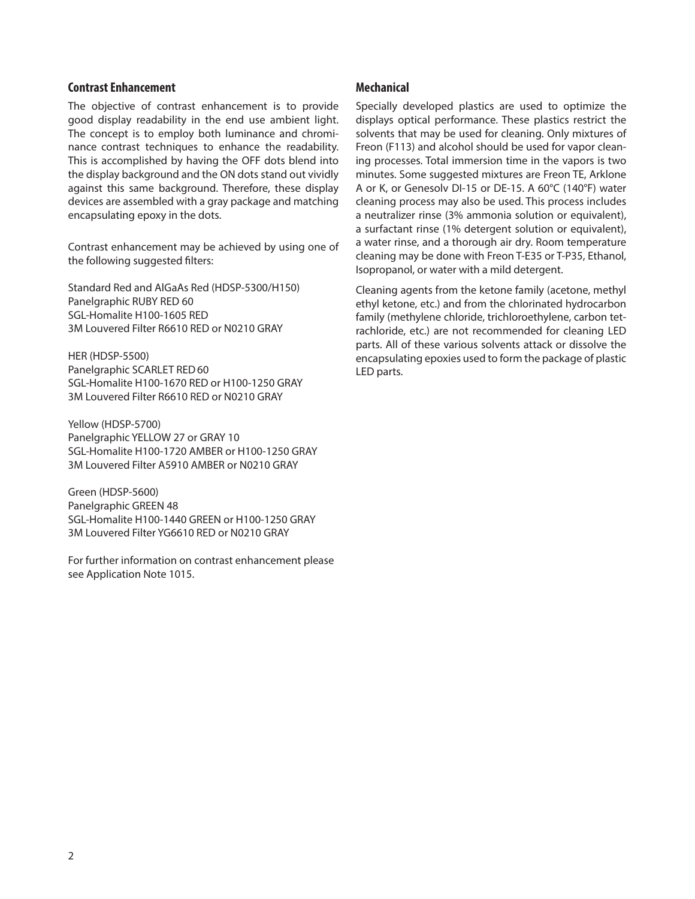#### **Contrast Enhancement**

The objective of contrast enhancement is to provide good display readability in the end use ambient light. The concept is to employ both luminance and chrominance contrast techniques to enhance the readability. This is accomplished by having the OFF dots blend into the display background and the ON dots stand out vividly against this same background. Therefore, these display devices are assembled with a gray package and matching encapsulating epoxy in the dots.

Contrast enhancement may be achieved by using one of the following suggested filters:

Standard Red and AlGaAs Red (HDSP-5300/H150) Panelgraphic RUBY RED 60 SGL-Homalite H100-1605 RED 3M Louvered Filter R6610 RED or N0210 GRAY

HER (HDSP-5500) Panelgraphic SCARLET RED 60 SGL-Homalite H100-1670 RED or H100-1250 GRAY 3M Louvered Filter R6610 RED or N0210 GRAY

Yellow (HDSP-5700) Panelgraphic YELLOW 27 or GRAY 10 SGL-Homalite H100-1720 AMBER or H100-1250 GRAY 3M Louvered Filter A5910 AMBER or N0210 GRAY

Green (HDSP-5600) Panelgraphic GREEN 48 SGL-Homalite H100-1440 GREEN or H100-1250 GRAY 3M Louvered Filter YG6610 RED or N0210 GRAY

For further information on contrast enhancement please see Application Note 1015.

### **Mechanical**

Specially developed plastics are used to optimize the displays optical performance. These plastics restrict the solvents that may be used for cleaning. Only mixtures of Freon (F113) and alcohol should be used for vapor cleaning processes. Total immersion time in the vapors is two minutes. Some suggested mixtures are Freon TE, Arklone A or K, or Genesolv DI-15 or DE-15. A 60°C (140°F) water cleaning process may also be used. This process includes a neutralizer rinse (3% ammonia solution or equivalent), a surfactant rinse (1% detergent solution or equivalent), a water rinse, and a thorough air dry. Room temperature cleaning may be done with Freon T-E35 or T-P35, Ethanol, Isopropanol, or water with a mild detergent.

Cleaning agents from the ketone family (acetone, methyl ethyl ketone, etc.) and from the chlorinated hydrocarbon family (methylene chloride, trichloroethylene, carbon tetrachloride, etc.) are not recommended for cleaning LED parts. All of these various solvents attack or dissolve the encapsulating epoxies used to form the package of plastic LED parts.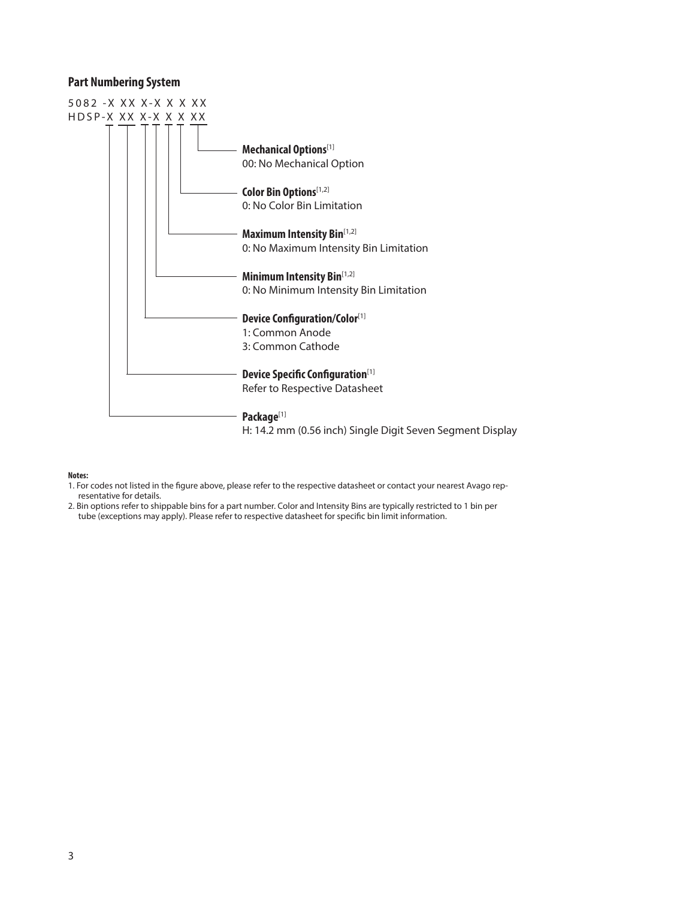#### **Part Numbering System**



#### **Notes:**

- 1. For codes not listed in the figure above, please refer to the respective datasheet or contact your nearest Avago representative for details.
- 2. Bin options refer to shippable bins for a part number. Color and Intensity Bins are typically restricted to 1 bin per tube (exceptions may apply). Please refer to respective datasheet for specific bin limit information.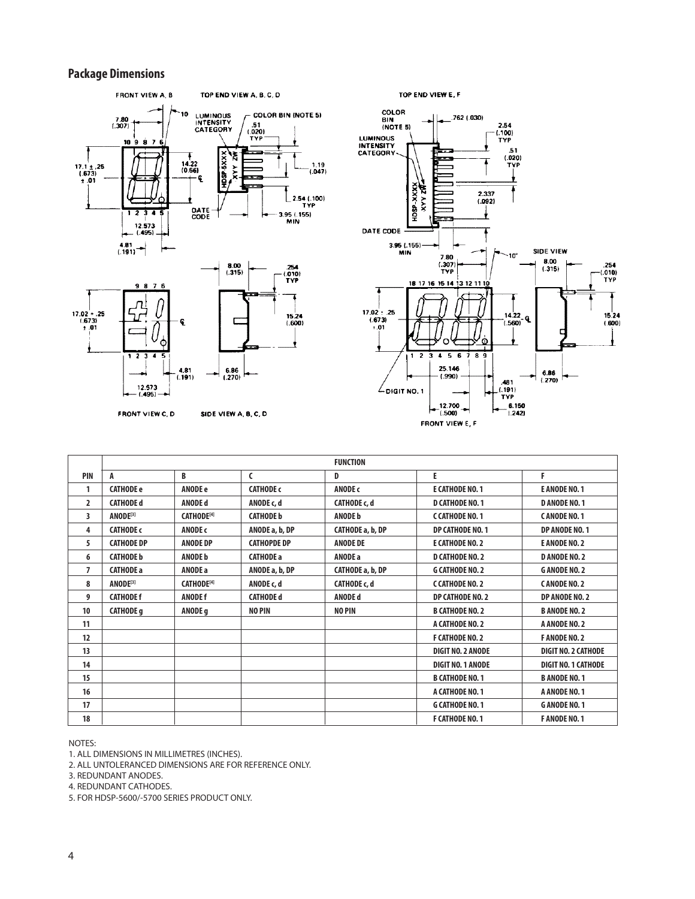### **Package Dimensions**





12.573<br>(-495) -

SIDE VIEW A, B, C, D



|                |                      |                               |                    | <b>FUNCTION</b>     |                          |                            |
|----------------|----------------------|-------------------------------|--------------------|---------------------|--------------------------|----------------------------|
| PIN            | A                    | B                             | $\mathsf{C}$       | D                   | E                        | F                          |
| 1              | <b>CATHODE e</b>     | <b>ANODE e</b>                | <b>CATHODE c</b>   | ANODE c             | E CATHODE NO. 1          | <b>E ANODE NO. 1</b>       |
| $\overline{2}$ | <b>CATHODE d</b>     | <b>ANODE d</b>                | ANODE c, d         | <b>CATHODE c, d</b> | <b>D CATHODE NO. 1</b>   | <b>D ANODE NO. 1</b>       |
| 3              | ANODE <sup>[3]</sup> | <b>CATHODE</b> <sup>[4]</sup> | <b>CATHODE b</b>   | <b>ANODE b</b>      | C CATHODE NO. 1          | CANODE NO. 1               |
| 4              | <b>CATHODE c</b>     | ANODE c                       | ANODE a, b, DP     | CATHODE a, b, DP    | <b>DP CATHODE NO. 1</b>  | DP ANODE NO. 1             |
| 5              | <b>CATHODE DP</b>    | <b>ANODE DP</b>               | <b>CATHOPDE DP</b> | <b>ANODE DE</b>     | E CATHODE NO. 2          | <b>E ANODE NO. 2</b>       |
| 6              | <b>CATHODE b</b>     | <b>ANODE b</b>                | <b>CATHODE a</b>   | <b>ANODE a</b>      | <b>D CATHODE NO. 2</b>   | <b>D ANODE NO. 2</b>       |
| 7              | <b>CATHODE a</b>     | ANODE a                       | ANODE a, b, DP     | CATHODE a, b, DP    | <b>G CATHODE NO. 2</b>   | <b>GANODENO.2</b>          |
| 8              | ANODE <sup>[3]</sup> | <b>CATHODE</b> <sup>[4]</sup> | ANODE c, d         | <b>CATHODE c, d</b> | C CATHODE NO. 2          | CANODE NO. 2               |
| 9              | <b>CATHODE f</b>     | <b>ANODE f</b>                | <b>CATHODE d</b>   | <b>ANODE d</b>      | DP CATHODE NO. 2         | DP ANODE NO. 2             |
| 10             | <b>CATHODE g</b>     | ANODE <sub>q</sub>            | <b>NO PIN</b>      | <b>NO PIN</b>       | <b>B CATHODE NO. 2</b>   | <b>B ANODE NO. 2</b>       |
| 11             |                      |                               |                    |                     | A CATHODE NO. 2          | A ANODE NO. 2              |
| 12             |                      |                               |                    |                     | <b>F CATHODE NO. 2</b>   | <b>FANODENO. 2</b>         |
| 13             |                      |                               |                    |                     | <b>DIGIT NO. 2 ANODE</b> | <b>DIGIT NO. 2 CATHODE</b> |
| 14             |                      |                               |                    |                     | <b>DIGIT NO. 1 ANODE</b> | <b>DIGIT NO. 1 CATHODE</b> |
| 15             |                      |                               |                    |                     | <b>B CATHODE NO. 1</b>   | <b>B ANODE NO. 1</b>       |
| 16             |                      |                               |                    |                     | A CATHODE NO. 1          | A ANODE NO. 1              |
| 17             |                      |                               |                    |                     | <b>G CATHODE NO. 1</b>   | <b>GANODENO.1</b>          |
| 18             |                      |                               |                    |                     | <b>F CATHODE NO. 1</b>   | <b>FANODENO.1</b>          |

NOTES:

1. ALL DIMENSIONS IN MILLIMETRES (INCHES).

2. ALL UNTOLERANCED DIMENSIONS ARE FOR REFERENCE ONLY.

3. REDUNDANT ANODES.

4. REDUNDANT CATHODES.

5. FOR HDSP-5600/-5700 SERIES PRODUCT ONLY.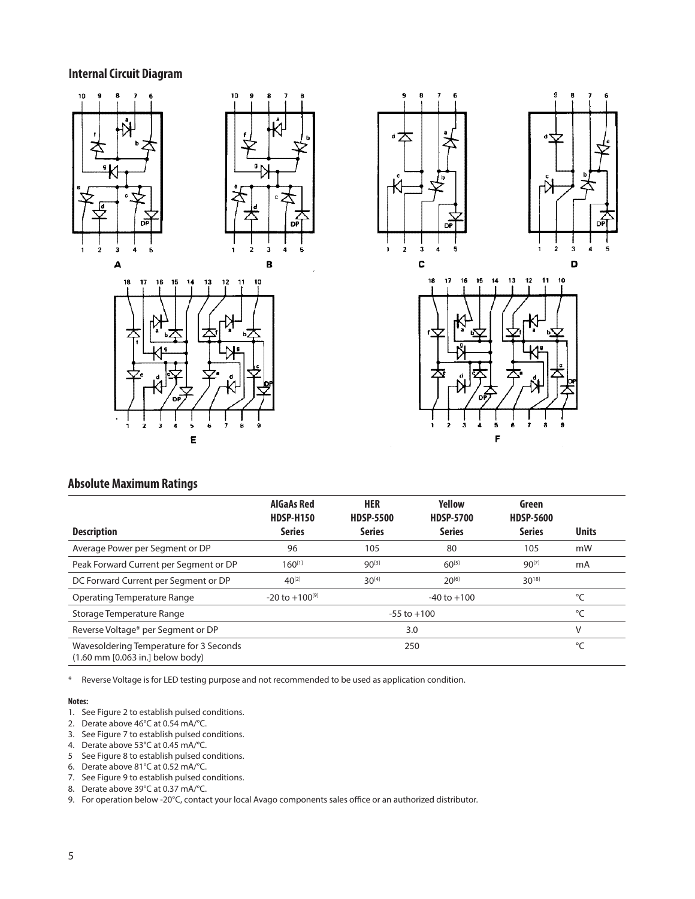### **Internal Circuit Diagram**











### **Absolute Maximum Ratings**

|                                                                                               | <b>AlGaAs Red</b><br><b>HDSP-H150</b> | <b>HER</b><br><b>HDSP-5500</b> | <b>Yellow</b><br><b>HDSP-5700</b> | Green<br><b>HDSP-5600</b> |              |
|-----------------------------------------------------------------------------------------------|---------------------------------------|--------------------------------|-----------------------------------|---------------------------|--------------|
| <b>Description</b>                                                                            | <b>Series</b>                         | <b>Series</b>                  | <b>Series</b>                     | <b>Series</b>             | <b>Units</b> |
| Average Power per Segment or DP                                                               | 96                                    | 105                            | 80                                | 105                       | mW           |
| Peak Forward Current per Segment or DP                                                        | $160^{[1]}$                           | 90[3]                          | 60[5]                             | 90[7]                     | mA           |
| DC Forward Current per Segment or DP                                                          | $40^{[2]}$                            | $30^{[4]}$                     | $20^{[6]}$                        | $30^{18}$                 |              |
| <b>Operating Temperature Range</b>                                                            | $-20$ to $+100^{9}$                   |                                | $-40$ to $+100$                   |                           | °C           |
| Storage Temperature Range                                                                     |                                       |                                | °C                                |                           |              |
| Reverse Voltage* per Segment or DP                                                            |                                       |                                | 3.0                               |                           | ٧            |
| Wavesoldering Temperature for 3 Seconds<br>$(1.60 \text{ mm} [0.063 \text{ in.}]$ below body) |                                       | 250                            |                                   | °C                        |              |

\* Reverse Voltage is for LED testing purpose and not recommended to be used as application condition.

#### **Notes:**

- 1. See Figure 2 to establish pulsed conditions.
- 2. Derate above 46°C at 0.54 mA/°C.
- 3. See Figure 7 to establish pulsed conditions.
- 4. Derate above 53°C at 0.45 mA/°C.
- 5 See Figure 8 to establish pulsed conditions. 6. Derate above 81°C at 0.52 mA/°C.
- 
- 7. See Figure 9 to establish pulsed conditions.
- 8. Derate above 39°C at 0.37 mA/°C.
- 9. For operation below -20°C, contact your local Avago components sales office or an authorized distributor.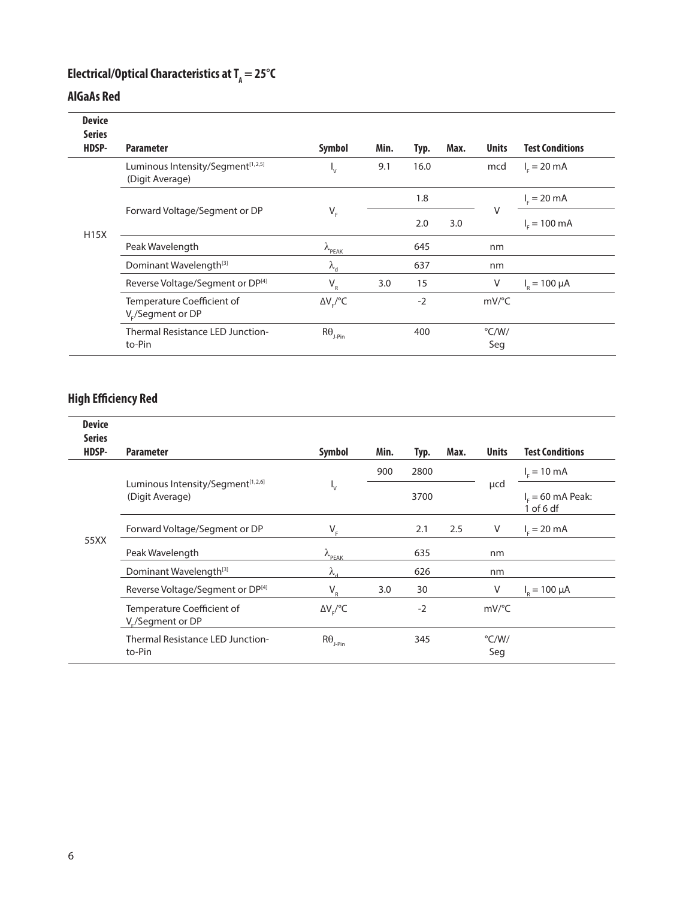## **Electrical/Optical Characteristics at T<sub>A</sub> = 25°C**

### **AlGaAs Red**

| <b>Device</b><br><b>Series</b> |                                                                  |                              |      |      |      |                       |                         |
|--------------------------------|------------------------------------------------------------------|------------------------------|------|------|------|-----------------------|-------------------------|
| HDSP-                          | <b>Parameter</b>                                                 | <b>Symbol</b>                | Min. | Typ. | Max. | <b>Units</b>          | <b>Test Conditions</b>  |
|                                | Luminous Intensity/Segment <sup>[1,2,5]</sup><br>(Digit Average) | 'ν                           | 9.1  | 16.0 |      | mcd                   | $I_c = 20 \text{ mA}$   |
|                                |                                                                  |                              |      | 1.8  |      |                       | $I_{E} = 20 \text{ mA}$ |
| <b>H15X</b>                    | Forward Voltage/Segment or DP                                    | $\mathsf{V}_{_{\mathsf{F}}}$ |      | 2.0  | 3.0  | V                     | $I_c = 100 \text{ mA}$  |
|                                | Peak Wavelength                                                  | $\lambda_{\text{PEAK}}$      |      | 645  |      | nm                    |                         |
|                                | Dominant Wavelength <sup>[3]</sup>                               | $\lambda_{\rm d}$            |      | 637  |      | nm                    |                         |
|                                | Reverse Voltage/Segment or DP[4]                                 | $V_R$                        | 3.0  | 15   |      | V                     | $I_p = 100 \mu A$       |
|                                | Temperature Coefficient of<br>V <sub>r</sub> /Segment or DP      | $\Delta V_{F}/{}^{o}C$       |      | $-2$ |      | $mV$ <sup>o</sup> C   |                         |
|                                | Thermal Resistance LED Junction-<br>to-Pin                       | $R\theta_{\text{J-Pin}}$     |      | 400  |      | $\degree$ C/W/<br>Seg |                         |

### **High Efficiency Red**

| <b>Device</b><br><b>Series</b> |                                                                  |                                                                  |      |      |      |                       |                                    |
|--------------------------------|------------------------------------------------------------------|------------------------------------------------------------------|------|------|------|-----------------------|------------------------------------|
| HDSP-                          | <b>Parameter</b>                                                 | Symbol                                                           | Min. | Typ. | Max. | <b>Units</b>          | <b>Test Conditions</b>             |
|                                |                                                                  |                                                                  | 900  | 2800 |      |                       | $I_c = 10 \text{ mA}$              |
|                                | Luminous Intensity/Segment <sup>[1,2,6]</sup><br>(Digit Average) | $\mathbf{I}_{\mathsf{V}}$                                        |      | 3700 |      | µcd                   | $I_c = 60$ mA Peak:<br>$1$ of 6 df |
|                                | Forward Voltage/Segment or DP                                    | $V_{F}$                                                          |      | 2.1  | 2.5  | V                     | $I_r = 20 \text{ mA}$              |
| 55XX                           | Peak Wavelength                                                  | $\lambda_{\text{PEAK}}$                                          |      | 635  |      | nm                    |                                    |
|                                | Dominant Wavelength <a>[3]</a>                                   | λ.                                                               |      | 626  |      | nm                    |                                    |
|                                | Reverse Voltage/Segment or DP[4]                                 | $V_{R}$                                                          | 3.0  | 30   |      | V                     | $I_{p} = 100 \mu A$                |
|                                | Temperature Coefficient of<br>V <sub>r</sub> /Segment or DP      | $\Delta V_{F}$ /°C                                               |      | $-2$ |      | $mV$ <sup>o</sup> C   |                                    |
|                                | Thermal Resistance LED Junction-<br>to-Pin                       | $\mathsf{R}\boldsymbol{\theta}_{\mathsf{J}\text{-}\mathsf{Pin}}$ |      | 345  |      | $\degree$ C/W/<br>Seg |                                    |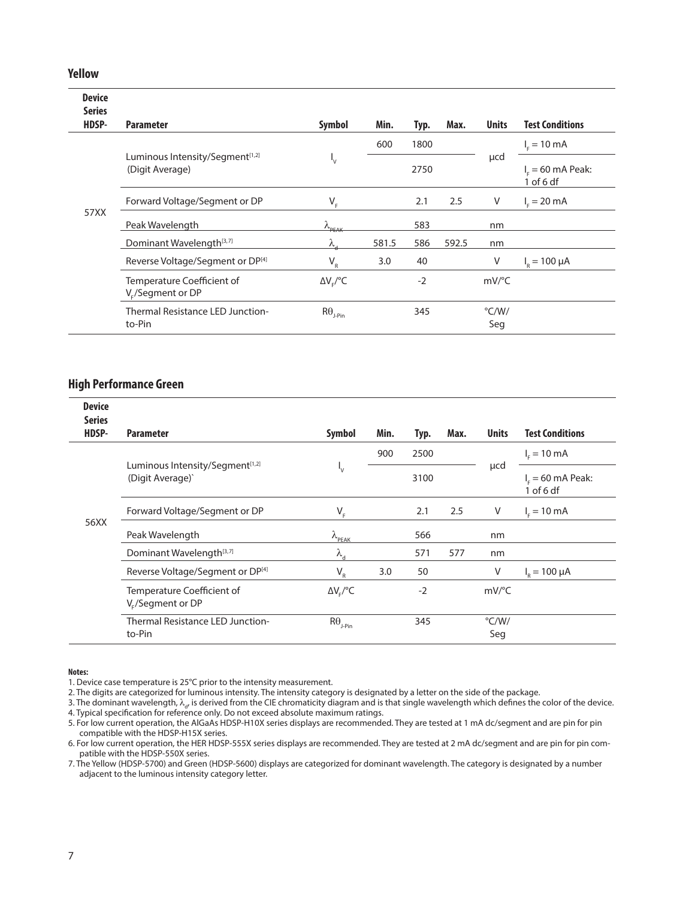#### **Yellow**

| <b>Device</b><br><b>Series</b> |                                                    |                                          |       |      |       |                       |                                    |
|--------------------------------|----------------------------------------------------|------------------------------------------|-------|------|-------|-----------------------|------------------------------------|
| HDSP-                          | <b>Parameter</b>                                   | <b>Symbol</b>                            | Min.  | Typ. | Max.  | <b>Units</b>          | <b>Test Conditions</b>             |
|                                |                                                    |                                          | 600   | 1800 |       |                       | $I_c = 10 \text{ mA}$              |
|                                | Luminous Intensity/Segment[1,2]<br>(Digit Average) | $\mathsf{I}_{\mathsf{V}}$                |       | 2750 |       | µcd                   | $I_c = 60$ mA Peak:<br>$1$ of 6 df |
|                                | Forward Voltage/Segment or DP                      | $V_F$                                    |       | 2.1  | 2.5   | V                     | $I_c = 20 \text{ mA}$              |
| 57XX                           | Peak Wavelength                                    | $\lambda$ PEAK                           |       | 583  |       | nm                    |                                    |
|                                | Dominant Wavelength <sup>[3,7]</sup>               | $\lambda$                                | 581.5 | 586  | 592.5 | nm                    |                                    |
|                                | Reverse Voltage/Segment or DP[4]                   | $V_R$                                    | 3.0   | 40   |       | V                     | $I_{\rm g} = 100 \mu A$            |
|                                | Temperature Coefficient of<br>$V_c$ /Segment or DP | $\Delta V_{F}/{}^{o}C$                   |       | $-2$ |       | $mV$ <sup>o</sup> C   |                                    |
|                                | Thermal Resistance LED Junction-<br>to-Pin         | $\mathsf{R}\Theta_{\text{\tiny{J-Pin}}}$ |       | 345  |       | $\degree$ C/W/<br>Seg |                                    |

#### **High Performance Green**

| <b>Device</b><br><b>Series</b> |                                                                 |                                             |      |      |      |                       |                                    |
|--------------------------------|-----------------------------------------------------------------|---------------------------------------------|------|------|------|-----------------------|------------------------------------|
| HDSP-                          | <b>Parameter</b>                                                | Symbol                                      | Min. | Typ. | Max. | <b>Units</b>          | <b>Test Conditions</b>             |
|                                |                                                                 |                                             | 900  | 2500 |      |                       | $I_c = 10 \text{ mA}$              |
|                                | Luminous Intensity/Segment <sup>[1,2]</sup><br>(Digit Average)' | $\mathsf{I}_{\mathsf{V}}$                   |      | 3100 |      | µcd                   | $I_c = 60$ mA Peak:<br>$1$ of 6 df |
|                                | Forward Voltage/Segment or DP                                   | $V_F$                                       |      | 2.1  | 2.5  | V                     | $I_c = 10 \text{ mA}$              |
| 56XX                           | Peak Wavelength                                                 | $\lambda_{\underline{\text{PEAK}}}$         |      | 566  |      | nm                    |                                    |
|                                | Dominant Wavelength <sup>[3,7]</sup>                            | $\lambda_{\rm d}$                           |      | 571  | 577  | nm                    |                                    |
|                                | Reverse Voltage/Segment or DP[4]                                | $\mathsf{V}_{\scriptscriptstyle\mathrm{R}}$ | 3.0  | 50   |      | V                     | $I_{p} = 100 \mu A$                |
|                                | Temperature Coefficient of<br>V <sub>r</sub> /Segment or DP     | $\Delta V_{\rm c}/^{\circ}C$                |      | $-2$ |      | $mV$ <sup>o</sup> C   |                                    |
|                                | Thermal Resistance LED Junction-<br>to-Pin                      | $R\theta_{_{J\text{-Pin}}}$                 |      | 345  |      | $\degree$ C/W/<br>Seg |                                    |

#### **Notes:**

1. Device case temperature is 25°C prior to the intensity measurement.

2. The digits are categorized for luminous intensity. The intensity category is designated by a letter on the side of the package.

3. The dominant wavelength,  $\lambda_{d'}$  is derived from the CIE chromaticity diagram and is that single wavelength which defines the color of the device. 4. Typical specification for reference only. Do not exceed absolute maximum ratings.

5. For low current operation, the AlGaAs HDSP-H10X series displays are recommended. They are tested at 1 mA dc/segment and are pin for pin compatible with the HDSP-H15X series.

6. For low current operation, the HER HDSP-555X series displays are recommended. They are tested at 2 mA dc/segment and are pin for pin compatible with the HDSP-550X series.

7. The Yellow (HDSP-5700) and Green (HDSP-5600) displays are categorized for dominant wavelength. The category is designated by a number adjacent to the luminous intensity category letter.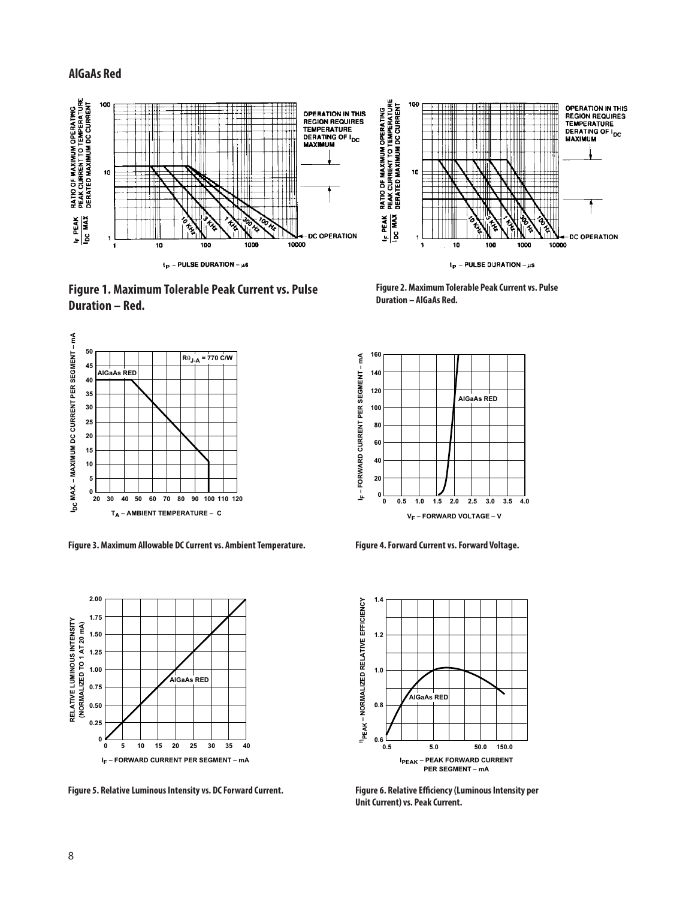#### **AlGaAs Red**



**Figure 1. Maximum Tolerable Peak Current vs. Pulse** Figure 2. Maximum Tole<br>Duration – AlGaAs Red. **Duration – Red.**



**Figure 3. Maximum Allowable DC Current vs. Ambient Temperature. Figure 4. Forward Current vs. Forward Voltage.**



**Figure 5. Relative Luminous Intensity vs. DC Forward Current. Figure 6. Relative Efficiency (Luminous Intensity per** 

**Figure 2. Maximum Tolerable Peak Current vs. Pulse** 





Unit Current) vs. Peak Current.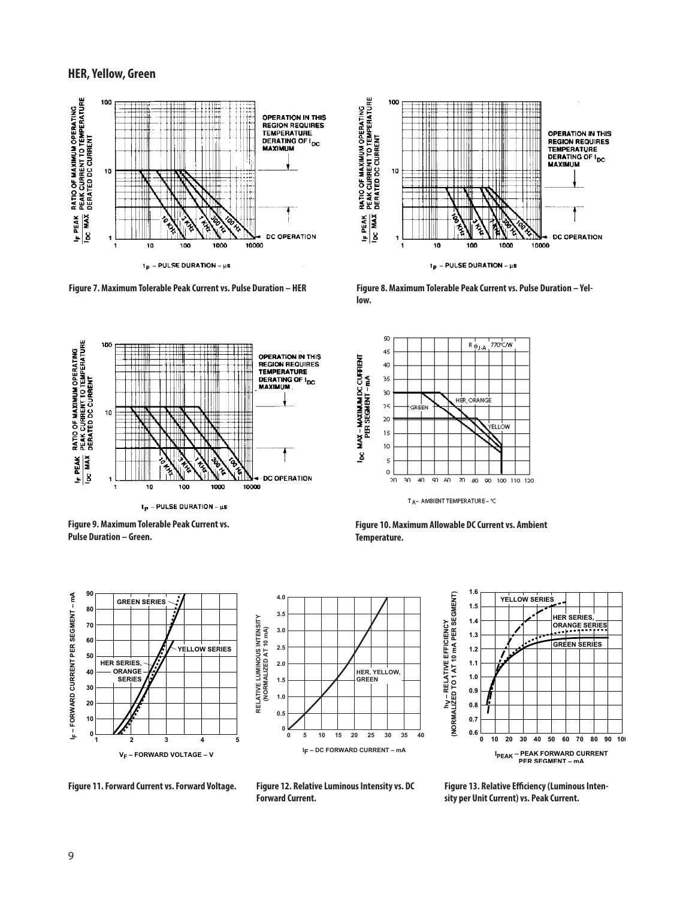#### **HER, Yellow, Green**









**Figure 9. Maximum Tolerable Peak Current vs. Pulse Duration – Green.**



**Figure 10. Maximum Allowable DC Current vs. Ambient Temperature.**



**4.0 3.5** RELATIVE LUMINOUS INTENSITY<br>(NORMALIZED AT 10 mA) **RELATIVE LUMINOUS INTENSITY 3.0 (NORMALIZED AT 10 mA) 2.5 2.0 HER, YELLOW, GREEN 1.5 1.0 0.5 0 5 10 15 25 30 35 20 40 0 I F – DC FORWARD CURRENT – mA**



**Figure 11. Forward Current vs. Forward Voltage.**



**Figure 13. Relative Efficiency (Luminous Inten-**